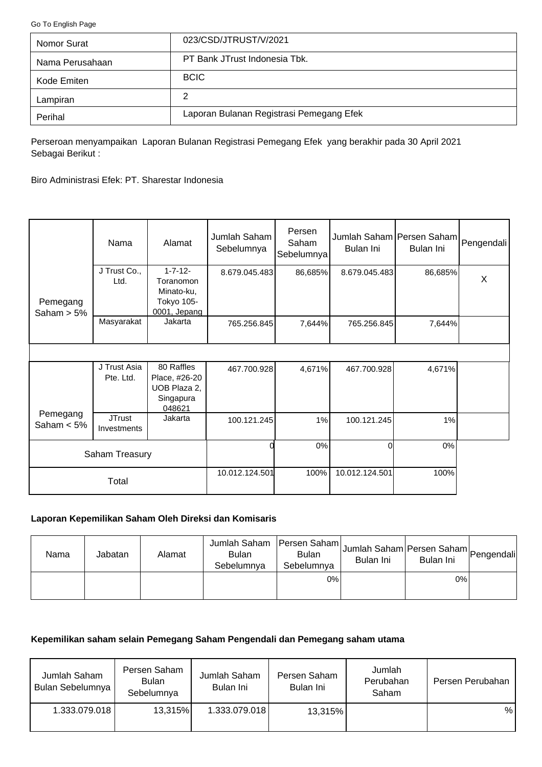<span id="page-0-0"></span>[Go To English Page](#page-2-0)

| Nomor Surat     | 023/CSD/JTRUST/V/2021                    |
|-----------------|------------------------------------------|
| Nama Perusahaan | PT Bank JTrust Indonesia Tbk.            |
| Kode Emiten     | <b>BCIC</b>                              |
| Lampiran        | 2                                        |
| Perihal         | Laporan Bulanan Registrasi Pemegang Efek |

Perseroan menyampaikan Laporan Bulanan Registrasi Pemegang Efek yang berakhir pada 30 April 2021 Sebagai Berikut :

Biro Administrasi Efek: PT. Sharestar Indonesia

|                           | Nama                         | Alamat                                                                  | Jumlah Saham<br>Sebelumnya | Persen<br>Saham<br>Sebelumnya | Jumlah Saham Persen Saham<br>Bulan Ini | Bulan Ini | Pengendali |
|---------------------------|------------------------------|-------------------------------------------------------------------------|----------------------------|-------------------------------|----------------------------------------|-----------|------------|
| Pemegang<br>Saham $> 5\%$ | J Trust Co.,<br>Ltd.         | $1 - 7 - 12 -$<br>Toranomon<br>Minato-ku,<br>Tokyo 105-<br>0001, Jepang | 8.679.045.483              | 86,685%                       | 8.679.045.483                          | 86,685%   | X          |
|                           | Masyarakat                   | Jakarta                                                                 | 765.256.845                | 7,644%                        | 765.256.845                            | 7,644%    |            |
|                           |                              |                                                                         |                            |                               |                                        |           |            |
|                           | J Trust Asia<br>Pte. Ltd.    | 80 Raffles<br>Place, #26-20<br>UOB Plaza 2,<br>Singapura<br>048621      | 467.700.928                | 4,671%                        | 467.700.928                            | 4,671%    |            |
| Pemegang<br>Saham $< 5\%$ | <b>JTrust</b><br>Investments | Jakarta                                                                 | 100.121.245                | 1%                            | 100.121.245                            | 1%        |            |
|                           | Saham Treasury               |                                                                         |                            | 0%                            | $\Omega$                               | 0%        |            |
|                           | Total                        |                                                                         | 10.012.124.501             | 100%                          | 10.012.124.501                         | 100%      |            |

# **Laporan Kepemilikan Saham Oleh Direksi dan Komisaris**

| Nama | Jabatan | Alamat | Jumlah Saham<br><b>Bulan</b><br>Sebelumnya | Persen Saham <br><b>Bulan</b><br>Sebelumnya | Jumlah Saham Persen Saham Pengendali<br>Bulan Ini | Bulan Ini |  |
|------|---------|--------|--------------------------------------------|---------------------------------------------|---------------------------------------------------|-----------|--|
|      |         |        |                                            | $0\%$                                       |                                                   | 0%        |  |

## **Kepemilikan saham selain Pemegang Saham Pengendali dan Pemegang saham utama**

| Jumlah Saham<br>Bulan Sebelumnya | Persen Saham<br><b>Bulan</b><br>Sebelumnya | Jumlah Saham<br>Bulan Ini | Persen Saham<br>Bulan Ini | Jumlah<br>Perubahan<br>Saham | Persen Perubahan |
|----------------------------------|--------------------------------------------|---------------------------|---------------------------|------------------------------|------------------|
| 1.333.079.018                    | 13,315%                                    | 1.333.079.018             | 13,315%                   |                              | %                |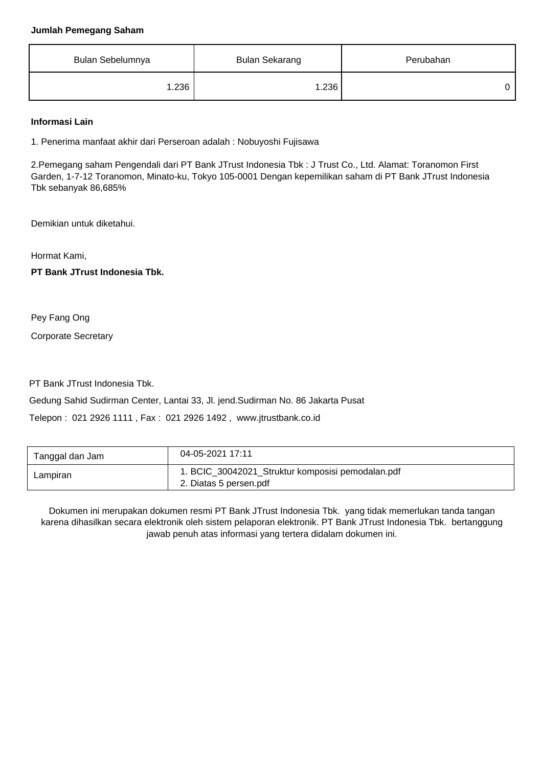#### **Jumlah Pemegang Saham**

| Bulan Sebelumnya | <b>Bulan Sekarang</b> | Perubahan |
|------------------|-----------------------|-----------|
| 1.236            | 1.236                 |           |

### **Informasi Lain**

1. Penerima manfaat akhir dari Perseroan adalah : Nobuyoshi Fujisawa

2.Pemegang saham Pengendali dari PT Bank JTrust Indonesia Tbk : J Trust Co., Ltd. Alamat: Toranomon First Garden, 1-7-12 Toranomon, Minato-ku, Tokyo 105-0001 Dengan kepemilikan saham di PT Bank JTrust Indonesia Tbk sebanyak 86,685%

Demikian untuk diketahui.

Hormat Kami,

**PT Bank JTrust Indonesia Tbk.**

Pey Fang Ong

Corporate Secretary

PT Bank JTrust Indonesia Tbk.

Gedung Sahid Sudirman Center, Lantai 33, Jl. jend.Sudirman No. 86 Jakarta Pusat

Telepon : 021 2926 1111 , Fax : 021 2926 1492 , www.jtrustbank.co.id

| Tanggal dan Jam | 04-05-2021 17:11                                                            |
|-----------------|-----------------------------------------------------------------------------|
| Lampiran        | 1. BCIC_30042021_Struktur komposisi pemodalan.pdf<br>2. Diatas 5 persen.pdf |

Dokumen ini merupakan dokumen resmi PT Bank JTrust Indonesia Tbk. yang tidak memerlukan tanda tangan karena dihasilkan secara elektronik oleh sistem pelaporan elektronik. PT Bank JTrust Indonesia Tbk. bertanggung jawab penuh atas informasi yang tertera didalam dokumen ini.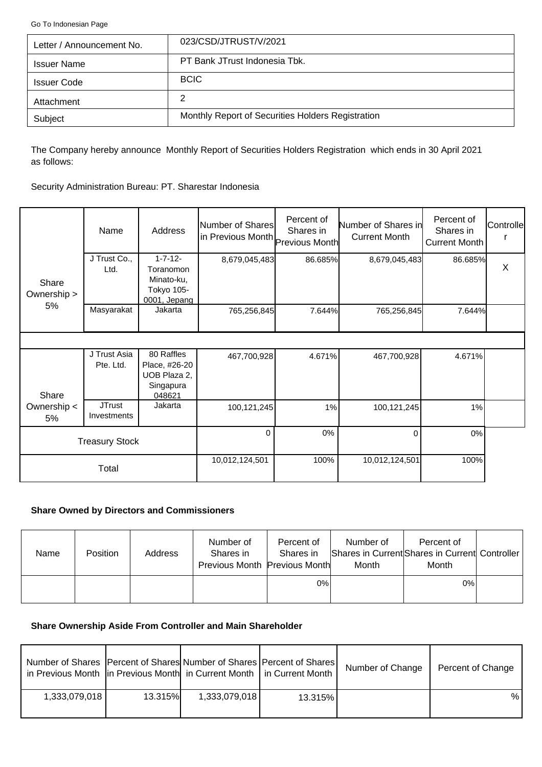<span id="page-2-0"></span>[Go To Indonesian Page](#page-0-0)

| Letter / Announcement No. | 023/CSD/JTRUST/V/2021                             |
|---------------------------|---------------------------------------------------|
| <b>Issuer Name</b>        | PT Bank JTrust Indonesia Tbk.                     |
| <b>Issuer Code</b>        | <b>BCIC</b>                                       |
| Attachment                | 2                                                 |
| Subject                   | Monthly Report of Securities Holders Registration |

The Company hereby announce Monthly Report of Securities Holders Registration which ends in 30 April 2021 as follows:

Security Administration Bureau: PT. Sharestar Indonesia

|                      | Name                         | Address                                                                 | Number of Shares<br>in Previous Month Previous Month | Percent of<br>Shares in | Number of Shares in<br><b>Current Month</b> | Percent of<br>Shares in<br>Current Month | Controlle |
|----------------------|------------------------------|-------------------------------------------------------------------------|------------------------------------------------------|-------------------------|---------------------------------------------|------------------------------------------|-----------|
| Share<br>Ownership > | J Trust Co.,<br>Ltd.         | $1 - 7 - 12 -$<br>Toranomon<br>Minato-ku,<br>Tokyo 105-<br>0001, Jepang | 8,679,045,483                                        | 86.685%                 | 8,679,045,483                               | 86.685%                                  | $\times$  |
| 5%                   | Masyarakat                   | Jakarta                                                                 | 765,256,845                                          | 7.644%                  | 765,256,845                                 | 7.644%                                   |           |
|                      |                              |                                                                         |                                                      |                         |                                             |                                          |           |
| Share                | J Trust Asia<br>Pte. Ltd.    | 80 Raffles<br>Place, #26-20<br>UOB Plaza 2,<br>Singapura<br>048621      | 467,700,928                                          | 4.671%                  | 467,700,928                                 | 4.671%                                   |           |
| Ownership <<br>5%    | <b>JTrust</b><br>Investments | Jakarta                                                                 | 100,121,245                                          | 1%                      | 100,121,245                                 | 1%                                       |           |
|                      | <b>Treasury Stock</b>        |                                                                         | $\Omega$                                             | 0%                      | $\Omega$                                    | 0%                                       |           |
|                      | Total                        |                                                                         | 10,012,124,501                                       | 100%                    | 10,012,124,501                              | 100%                                     |           |

## **Share Owned by Directors and Commissioners**

| <b>Name</b> | Position | Address | Number of<br>Shares in<br>Previous Month Previous Month | Percent of<br>Shares in | Number of<br>Month | Percent of<br>Shares in Current Shares in Current Controller<br>Month |  |
|-------------|----------|---------|---------------------------------------------------------|-------------------------|--------------------|-----------------------------------------------------------------------|--|
|             |          |         |                                                         | 0%                      |                    | 0%                                                                    |  |

## **Share Ownership Aside From Controller and Main Shareholder**

| Number of Shares   Percent of Shares  Number of Shares   Percent of Shares  <br>in Previous Month   in Previous Month   in Current Month   in Current Month |                |               |         | Number of Change | Percent of Change |
|-------------------------------------------------------------------------------------------------------------------------------------------------------------|----------------|---------------|---------|------------------|-------------------|
| 1,333,079,018                                                                                                                                               | <b>13.315%</b> | 1,333,079,018 | 13.315% |                  | %                 |